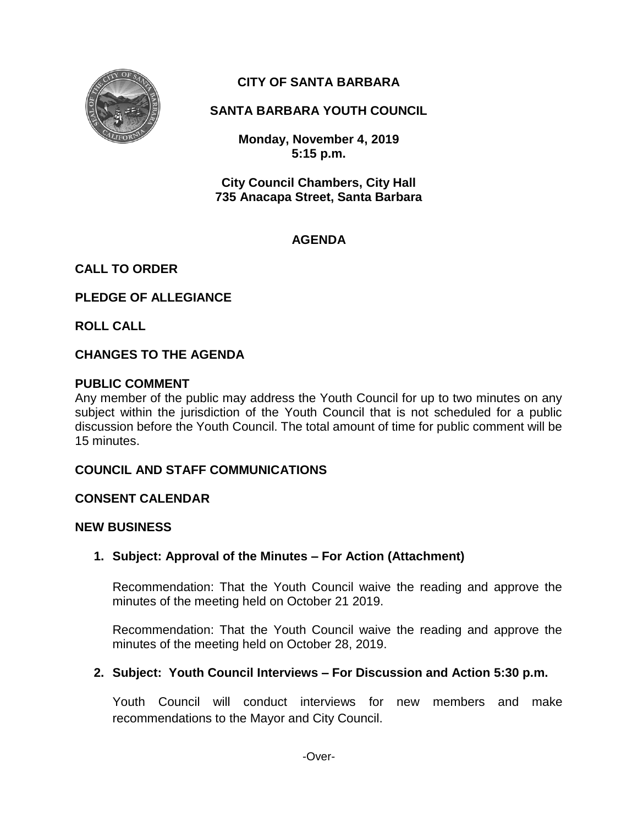

# **CITY OF SANTA BARBARA**

# **SANTA BARBARA YOUTH COUNCIL**

**Monday, November 4, 2019 5:15 p.m.**

**City Council Chambers, City Hall 735 Anacapa Street, Santa Barbara**

# **AGENDA**

# **CALL TO ORDER**

# **PLEDGE OF ALLEGIANCE**

**ROLL CALL**

# **CHANGES TO THE AGENDA**

# **PUBLIC COMMENT**

Any member of the public may address the Youth Council for up to two minutes on any subject within the jurisdiction of the Youth Council that is not scheduled for a public discussion before the Youth Council. The total amount of time for public comment will be 15 minutes.

# **COUNCIL AND STAFF COMMUNICATIONS**

#### **CONSENT CALENDAR**

#### **NEW BUSINESS**

# **1. Subject: Approval of the Minutes – For Action (Attachment)**

Recommendation: That the Youth Council waive the reading and approve the minutes of the meeting held on October 21 2019.

Recommendation: That the Youth Council waive the reading and approve the minutes of the meeting held on October 28, 2019.

# **2. Subject: Youth Council Interviews – For Discussion and Action 5:30 p.m.**

Youth Council will conduct interviews for new members and make recommendations to the Mayor and City Council.